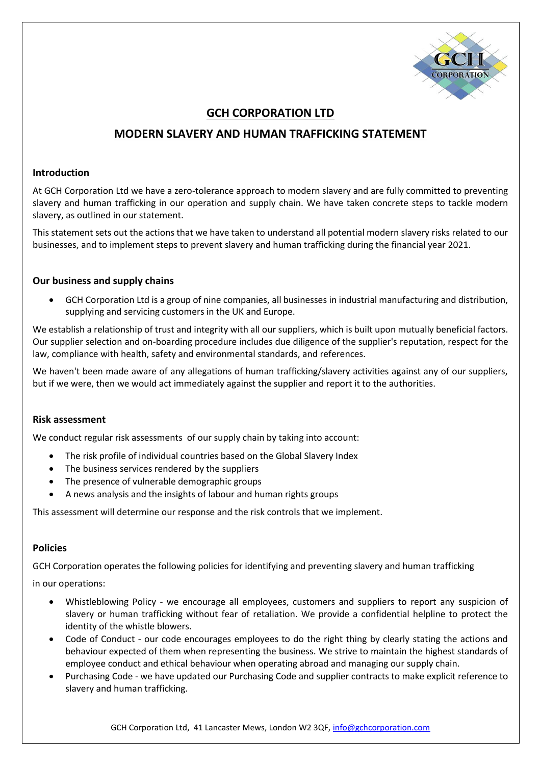

# **GCH CORPORATION LTD**

# **MODERN SLAVERY AND HUMAN TRAFFICKING STATEMENT**

#### **Introduction**

At GCH Corporation Ltd we have a zero-tolerance approach to modern slavery and are fully committed to preventing slavery and human trafficking in our operation and supply chain. We have taken concrete steps to tackle modern slavery, as outlined in our statement.

This statement sets out the actions that we have taken to understand all potential modern slavery risks related to our businesses, and to implement steps to prevent slavery and human trafficking during the financial year 2021.

## **Our business and supply chains**

• GCH Corporation Ltd is a group of nine companies, all businesses in industrial manufacturing and distribution, supplying and servicing customers in the UK and Europe.

We establish a relationship of trust and integrity with all our suppliers, which is built upon mutually beneficial factors. Our supplier selection and on-boarding procedure includes due diligence of the supplier's reputation, respect for the law, compliance with health, safety and environmental standards, and references.

We haven't been made aware of any allegations of human trafficking/slavery activities against any of our suppliers, but if we were, then we would act immediately against the supplier and report it to the authorities.

#### **Risk assessment**

We conduct regular risk assessments of our supply chain by taking into account:

- The risk profile of individual countries based on the Global Slavery Index
- The business services rendered by the suppliers
- The presence of vulnerable demographic groups
- A news analysis and the insights of labour and human rights groups

This assessment will determine our response and the risk controls that we implement.

## **Policies**

GCH Corporation operates the following policies for identifying and preventing slavery and human trafficking

in our operations:

- Whistleblowing Policy we encourage all employees, customers and suppliers to report any suspicion of slavery or human trafficking without fear of retaliation. We provide a confidential helpline to protect the identity of the whistle blowers.
- Code of Conduct our code encourages employees to do the right thing by clearly stating the actions and behaviour expected of them when representing the business. We strive to maintain the highest standards of employee conduct and ethical behaviour when operating abroad and managing our supply chain.
- Purchasing Code we have updated our Purchasing Code and supplier contracts to make explicit reference to slavery and human trafficking.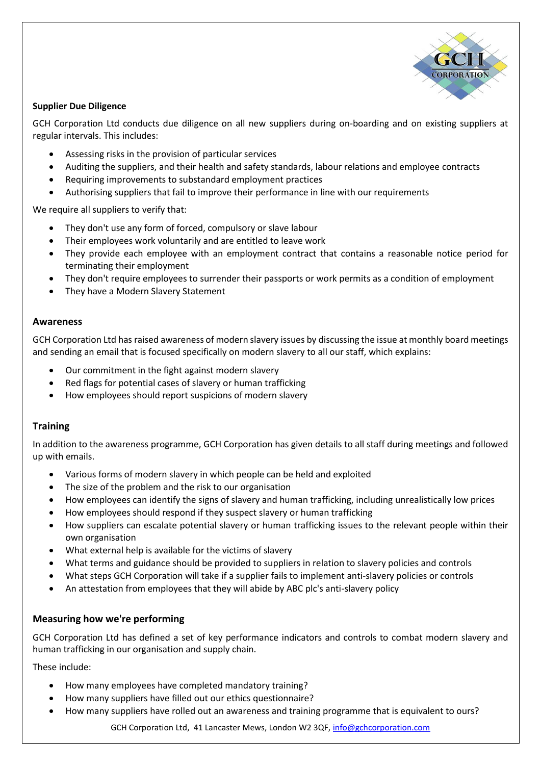

#### **Supplier Due Diligence**

GCH Corporation Ltd conducts due diligence on all new suppliers during on-boarding and on existing suppliers at regular intervals. This includes:

- Assessing risks in the provision of particular services
- Auditing the suppliers, and their health and safety standards, labour relations and employee contracts
- Requiring improvements to substandard employment practices
- Authorising suppliers that fail to improve their performance in line with our requirements

We require all suppliers to verify that:

- They don't use any form of forced, compulsory or slave labour
- Their employees work voluntarily and are entitled to leave work
- They provide each employee with an employment contract that contains a reasonable notice period for terminating their employment
- They don't require employees to surrender their passports or work permits as a condition of employment
- They have a Modern Slavery Statement

#### **Awareness**

GCH Corporation Ltd has raised awareness of modern slavery issues by discussing the issue at monthly board meetings and sending an email that is focused specifically on modern slavery to all our staff, which explains:

- Our commitment in the fight against modern slavery
- Red flags for potential cases of slavery or human trafficking
- How employees should report suspicions of modern slavery

## **Training**

In addition to the awareness programme, GCH Corporation has given details to all staff during meetings and followed up with emails.

- Various forms of modern slavery in which people can be held and exploited
- The size of the problem and the risk to our organisation
- How employees can identify the signs of slavery and human trafficking, including unrealistically low prices
- How employees should respond if they suspect slavery or human trafficking
- How suppliers can escalate potential slavery or human trafficking issues to the relevant people within their own organisation
- What external help is available for the victims of slavery
- What terms and guidance should be provided to suppliers in relation to slavery policies and controls
- What steps GCH Corporation will take if a supplier fails to implement anti-slavery policies or controls
- An attestation from employees that they will abide by ABC plc's anti-slavery policy

## **Measuring how we're performing**

GCH Corporation Ltd has defined a set of key performance indicators and controls to combat modern slavery and human trafficking in our organisation and supply chain.

These include:

- How many employees have completed mandatory training?
- How many suppliers have filled out our ethics questionnaire?
- How many suppliers have rolled out an awareness and training programme that is equivalent to ours?

GCH Corporation Ltd, 41 Lancaster Mews, London W2 3QF, [info@gchcorporation.com](mailto:info@gchcorporation.com)